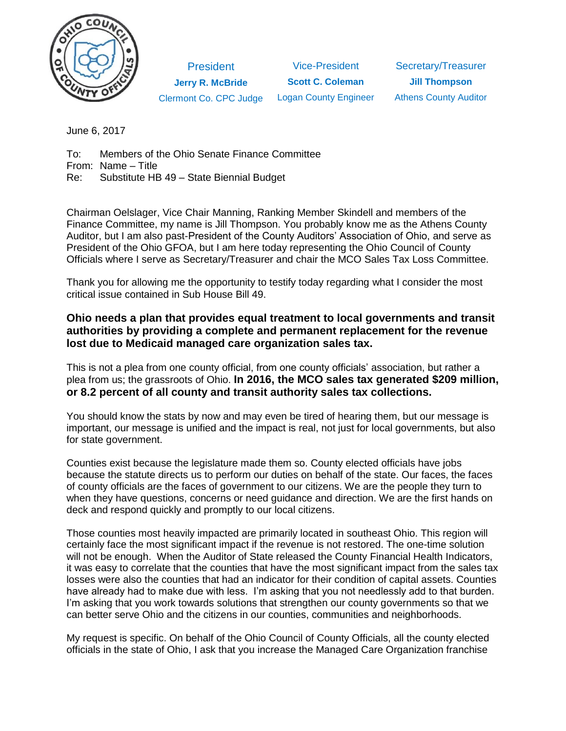

**President Jerry R. McBride** Clermont Co. CPC Judge

Vice-President **Scott C. Coleman** Logan County Engineer

Secretary/Treasurer **Jill Thompson** Athens County Auditor

June 6, 2017

To: Members of the Ohio Senate Finance Committee From: Name – Title

Re: Substitute HB 49 – State Biennial Budget

Chairman Oelslager, Vice Chair Manning, Ranking Member Skindell and members of the Finance Committee, my name is Jill Thompson. You probably know me as the Athens County Auditor, but I am also past-President of the County Auditors' Association of Ohio, and serve as President of the Ohio GFOA, but I am here today representing the Ohio Council of County Officials where I serve as Secretary/Treasurer and chair the MCO Sales Tax Loss Committee.

Thank you for allowing me the opportunity to testify today regarding what I consider the most critical issue contained in Sub House Bill 49.

## **Ohio needs a plan that provides equal treatment to local governments and transit authorities by providing a complete and permanent replacement for the revenue lost due to Medicaid managed care organization sales tax.**

This is not a plea from one county official, from one county officials' association, but rather a plea from us; the grassroots of Ohio. **In 2016, the MCO sales tax generated \$209 million, or 8.2 percent of all county and transit authority sales tax collections.**

You should know the stats by now and may even be tired of hearing them, but our message is important, our message is unified and the impact is real, not just for local governments, but also for state government.

Counties exist because the legislature made them so. County elected officials have jobs because the statute directs us to perform our duties on behalf of the state. Our faces, the faces of county officials are the faces of government to our citizens. We are the people they turn to when they have questions, concerns or need guidance and direction. We are the first hands on deck and respond quickly and promptly to our local citizens.

Those counties most heavily impacted are primarily located in southeast Ohio. This region will certainly face the most significant impact if the revenue is not restored. The one-time solution will not be enough. When the Auditor of State released the County Financial Health Indicators, it was easy to correlate that the counties that have the most significant impact from the sales tax losses were also the counties that had an indicator for their condition of capital assets. Counties have already had to make due with less. I'm asking that you not needlessly add to that burden. I'm asking that you work towards solutions that strengthen our county governments so that we can better serve Ohio and the citizens in our counties, communities and neighborhoods.

My request is specific. On behalf of the Ohio Council of County Officials, all the county elected officials in the state of Ohio, I ask that you increase the Managed Care Organization franchise